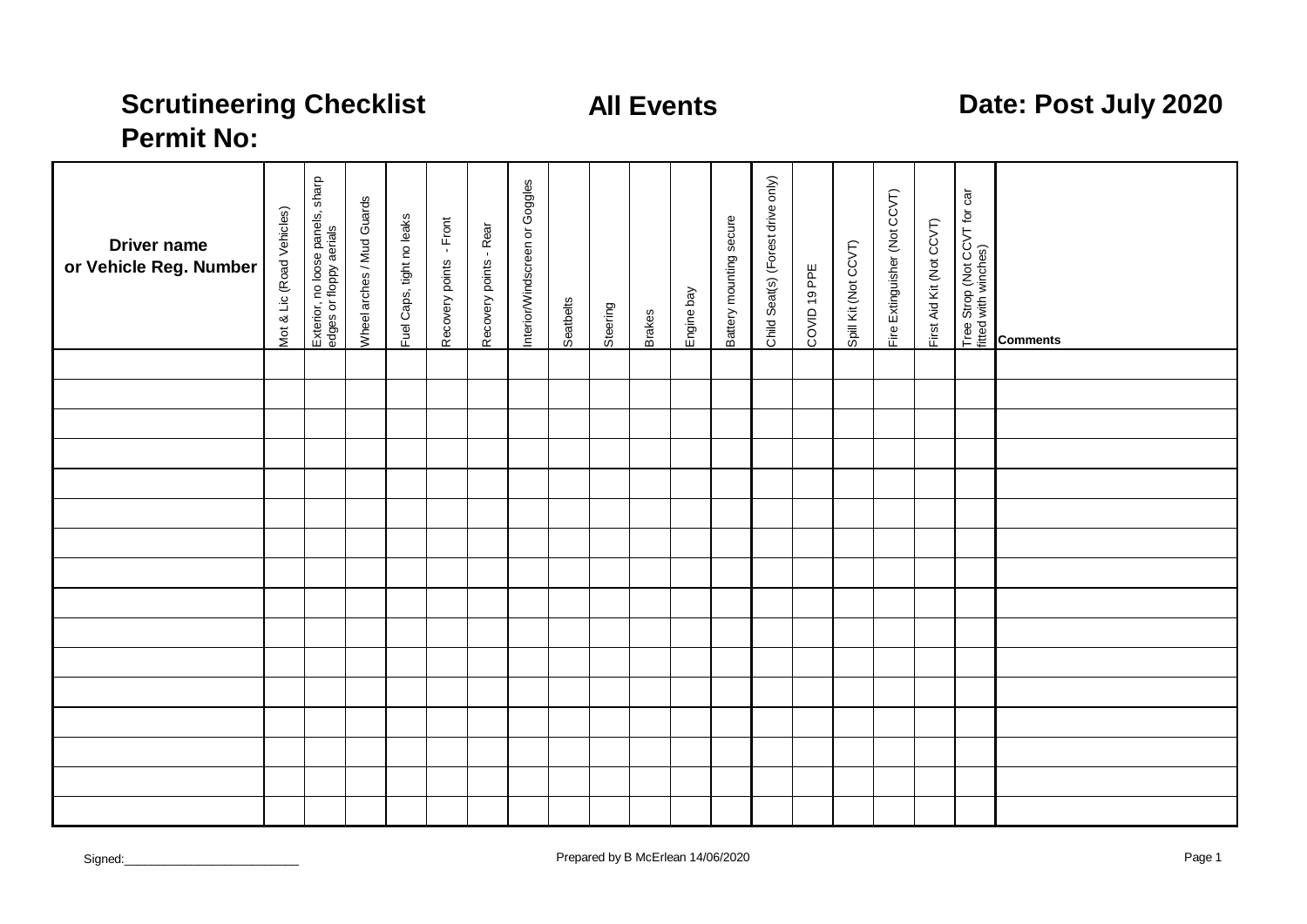# **All Events Date: Post July 2020**

## **Scrutineering Checklist Permit No:**

| <b>Driver name</b><br>or Vehicle Reg. Number | Mot & Lic (Road Vehicles) | Exterior, no loose panels, sharp<br>edges or floppy aerials | <b>Wheel arches / Mud Guards</b> | Fuel Caps, tight no leaks | Recovery points - Front | Recovery points - Rear | nterior/Windscreen or Goggles | Seatbelts | Steering | <b>Brakes</b> | Engine bay | Battery mounting secure | Child Seat(s) (Forest drive only) | COVID 19 PPE | Spill Kit (Not CCVT) | Fire Extinguisher (Not CCVT) | First Aid Kit (Not CCVT) | Tree Strop (Not CCVT for car<br>fitted with winches) | <b>Comments</b> |
|----------------------------------------------|---------------------------|-------------------------------------------------------------|----------------------------------|---------------------------|-------------------------|------------------------|-------------------------------|-----------|----------|---------------|------------|-------------------------|-----------------------------------|--------------|----------------------|------------------------------|--------------------------|------------------------------------------------------|-----------------|
|                                              |                           |                                                             |                                  |                           |                         |                        |                               |           |          |               |            |                         |                                   |              |                      |                              |                          |                                                      |                 |
|                                              |                           |                                                             |                                  |                           |                         |                        |                               |           |          |               |            |                         |                                   |              |                      |                              |                          |                                                      |                 |
|                                              |                           |                                                             |                                  |                           |                         |                        |                               |           |          |               |            |                         |                                   |              |                      |                              |                          |                                                      |                 |
|                                              |                           |                                                             |                                  |                           |                         |                        |                               |           |          |               |            |                         |                                   |              |                      |                              |                          |                                                      |                 |
|                                              |                           |                                                             |                                  |                           |                         |                        |                               |           |          |               |            |                         |                                   |              |                      |                              |                          |                                                      |                 |
|                                              |                           |                                                             |                                  |                           |                         |                        |                               |           |          |               |            |                         |                                   |              |                      |                              |                          |                                                      |                 |
|                                              |                           |                                                             |                                  |                           |                         |                        |                               |           |          |               |            |                         |                                   |              |                      |                              |                          |                                                      |                 |
|                                              |                           |                                                             |                                  |                           |                         |                        |                               |           |          |               |            |                         |                                   |              |                      |                              |                          |                                                      |                 |
|                                              |                           |                                                             |                                  |                           |                         |                        |                               |           |          |               |            |                         |                                   |              |                      |                              |                          |                                                      |                 |
|                                              |                           |                                                             |                                  |                           |                         |                        |                               |           |          |               |            |                         |                                   |              |                      |                              |                          |                                                      |                 |
|                                              |                           |                                                             |                                  |                           |                         |                        |                               |           |          |               |            |                         |                                   |              |                      |                              |                          |                                                      |                 |
|                                              |                           |                                                             |                                  |                           |                         |                        |                               |           |          |               |            |                         |                                   |              |                      |                              |                          |                                                      |                 |
|                                              |                           |                                                             |                                  |                           |                         |                        |                               |           |          |               |            |                         |                                   |              |                      |                              |                          |                                                      |                 |
|                                              |                           |                                                             |                                  |                           |                         |                        |                               |           |          |               |            |                         |                                   |              |                      |                              |                          |                                                      |                 |
|                                              |                           |                                                             |                                  |                           |                         |                        |                               |           |          |               |            |                         |                                   |              |                      |                              |                          |                                                      |                 |
|                                              |                           |                                                             |                                  |                           |                         |                        |                               |           |          |               |            |                         |                                   |              |                      |                              |                          |                                                      |                 |